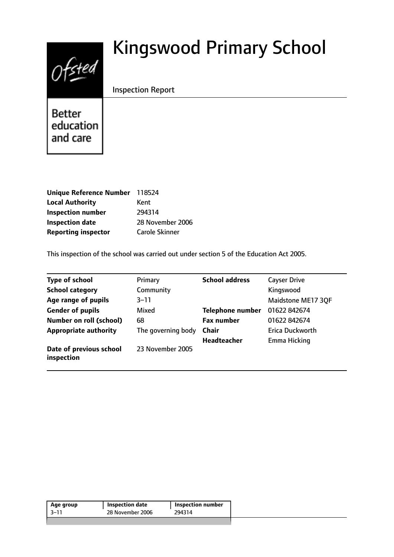# $0$ fsted

## Kingswood Primary School

#### Inspection Report

**Better** education and care

| Unique Reference Number 118524 |                       |
|--------------------------------|-----------------------|
| <b>Local Authority</b>         | Kent                  |
| <b>Inspection number</b>       | 294314                |
| <b>Inspection date</b>         | 28 November 2006      |
| <b>Reporting inspector</b>     | <b>Carole Skinner</b> |

This inspection of the school was carried out under section 5 of the Education Act 2005.

| <b>Type of school</b>                 | Primary            | <b>School address</b>   | <b>Cayser Drive</b> |
|---------------------------------------|--------------------|-------------------------|---------------------|
| <b>School category</b>                | Community          |                         | Kingswood           |
| Age range of pupils                   | $3 - 11$           |                         | Maidstone ME17 3QF  |
| <b>Gender of pupils</b>               | Mixed              | <b>Telephone number</b> | 01622 842674        |
| Number on roll (school)               | 68                 | <b>Fax number</b>       | 01622 842674        |
| <b>Appropriate authority</b>          | The governing body | <b>Chair</b>            | Erica Duckworth     |
|                                       |                    | Headteacher             | Emma Hicking        |
| Date of previous school<br>inspection | 23 November 2005   |                         |                     |

| 28 November 2006<br>-3–11<br>294314 | Age group | <b>Inspection date</b> | <b>Inspection number</b> |
|-------------------------------------|-----------|------------------------|--------------------------|
|                                     |           |                        |                          |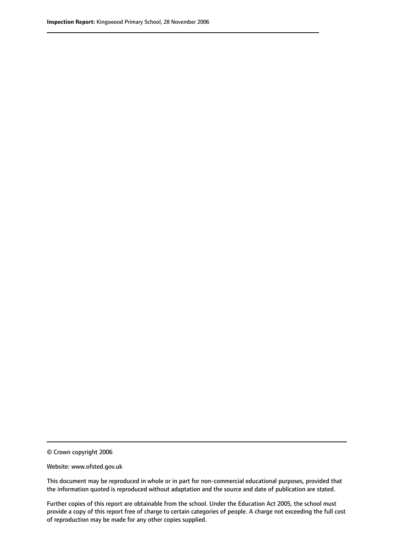© Crown copyright 2006

Website: www.ofsted.gov.uk

This document may be reproduced in whole or in part for non-commercial educational purposes, provided that the information quoted is reproduced without adaptation and the source and date of publication are stated.

Further copies of this report are obtainable from the school. Under the Education Act 2005, the school must provide a copy of this report free of charge to certain categories of people. A charge not exceeding the full cost of reproduction may be made for any other copies supplied.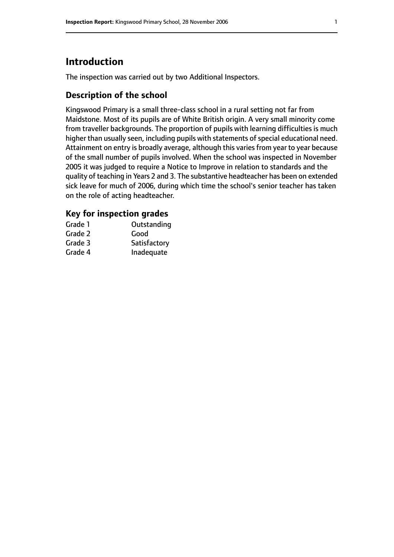#### **Introduction**

The inspection was carried out by two Additional Inspectors.

#### **Description of the school**

Kingswood Primary is a small three-class school in a rural setting not far from Maidstone. Most of its pupils are of White British origin. A very small minority come from traveller backgrounds. The proportion of pupils with learning difficulties is much higher than usually seen, including pupils with statements of special educational need. Attainment on entry is broadly average, although this varies from year to year because of the small number of pupils involved. When the school was inspected in November 2005 it was judged to require a Notice to Improve in relation to standards and the quality of teaching in Years 2 and 3. The substantive headteacher has been on extended sick leave for much of 2006, during which time the school's senior teacher has taken on the role of acting headteacher.

#### **Key for inspection grades**

| Grade 1 | Outstanding  |
|---------|--------------|
| Grade 2 | Good         |
| Grade 3 | Satisfactory |
| Grade 4 | Inadequate   |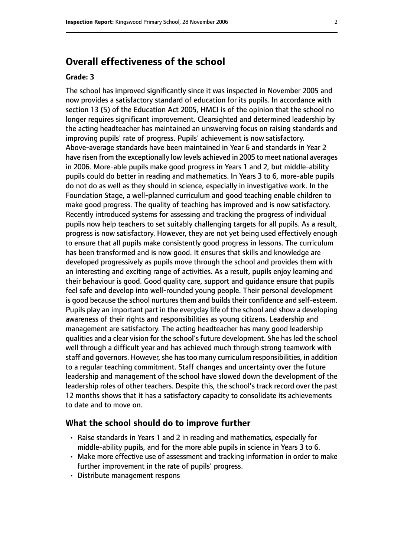#### **Overall effectiveness of the school**

#### **Grade: 3**

The school has improved significantly since it was inspected in November 2005 and now provides a satisfactory standard of education for its pupils. In accordance with section 13 (5) of the Education Act 2005, HMCI is of the opinion that the school no longer requires significant improvement. Clearsighted and determined leadership by the acting headteacher has maintained an unswerving focus on raising standards and improving pupils' rate of progress. Pupils' achievement is now satisfactory. Above-average standards have been maintained in Year 6 and standards in Year 2 have risen from the exceptionally low levels achieved in 2005 to meet national averages in 2006. More-able pupils make good progress in Years 1 and 2, but middle-ability pupils could do better in reading and mathematics. In Years 3 to 6, more-able pupils do not do as well as they should in science, especially in investigative work. In the Foundation Stage, a well-planned curriculum and good teaching enable children to make good progress. The quality of teaching has improved and is now satisfactory. Recently introduced systems for assessing and tracking the progress of individual pupils now help teachers to set suitably challenging targets for all pupils. As a result, progress is now satisfactory. However, they are not yet being used effectively enough to ensure that all pupils make consistently good progress in lessons. The curriculum has been transformed and is now good. It ensures that skills and knowledge are developed progressively as pupils move through the school and provides them with an interesting and exciting range of activities. As a result, pupils enjoy learning and their behaviour is good. Good quality care, support and guidance ensure that pupils feel safe and develop into well-rounded young people. Their personal development is good because the school nurtures them and builds their confidence and self-esteem. Pupils play an important part in the everyday life of the school and show a developing awareness of their rights and responsibilities as young citizens. Leadership and management are satisfactory. The acting headteacher has many good leadership qualities and a clear vision for the school's future development. She has led the school well through a difficult year and has achieved much through strong teamwork with staff and governors. However, she has too many curriculum responsibilities, in addition to a regular teaching commitment. Staff changes and uncertainty over the future leadership and management of the school have slowed down the development of the leadership roles of other teachers. Despite this, the school's track record over the past 12 months shows that it has a satisfactory capacity to consolidate its achievements to date and to move on.

#### **What the school should do to improve further**

- Raise standards in Years 1 and 2 in reading and mathematics, especially for middle-ability pupils, and for the more able pupils in science in Years 3 to 6.
- Make more effective use of assessment and tracking information in order to make further improvement in the rate of pupils' progress.
- Distribute management respons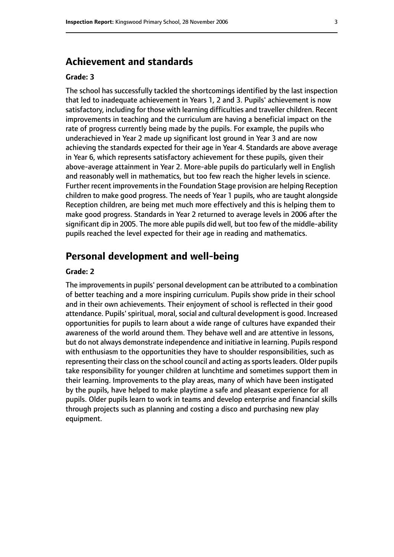#### **Achievement and standards**

#### **Grade: 3**

The school has successfully tackled the shortcomings identified by the last inspection that led to inadequate achievement in Years 1, 2 and 3. Pupils' achievement is now satisfactory, including for those with learning difficulties and traveller children. Recent improvements in teaching and the curriculum are having a beneficial impact on the rate of progress currently being made by the pupils. For example, the pupils who underachieved in Year 2 made up significant lost ground in Year 3 and are now achieving the standards expected for their age in Year 4. Standards are above average in Year 6, which represents satisfactory achievement for these pupils, given their above-average attainment in Year 2. More-able pupils do particularly well in English and reasonably well in mathematics, but too few reach the higher levels in science. Further recent improvements in the Foundation Stage provision are helping Reception children to make good progress. The needs of Year 1 pupils, who are taught alongside Reception children, are being met much more effectively and this is helping them to make good progress. Standards in Year 2 returned to average levels in 2006 after the significant dip in 2005. The more able pupils did well, but too few of the middle-ability pupils reached the level expected for their age in reading and mathematics.

#### **Personal development and well-being**

#### **Grade: 2**

The improvements in pupils' personal development can be attributed to a combination of better teaching and a more inspiring curriculum. Pupils show pride in their school and in their own achievements. Their enjoyment of school is reflected in their good attendance. Pupils' spiritual, moral, social and cultural development is good. Increased opportunities for pupils to learn about a wide range of cultures have expanded their awareness of the world around them. They behave well and are attentive in lessons, but do not always demonstrate independence and initiative in learning. Pupils respond with enthusiasm to the opportunities they have to shoulder responsibilities, such as representing their class on the school council and acting as sports leaders. Older pupils take responsibility for younger children at lunchtime and sometimes support them in their learning. Improvements to the play areas, many of which have been instigated by the pupils, have helped to make playtime a safe and pleasant experience for all pupils. Older pupils learn to work in teams and develop enterprise and financial skills through projects such as planning and costing a disco and purchasing new play equipment.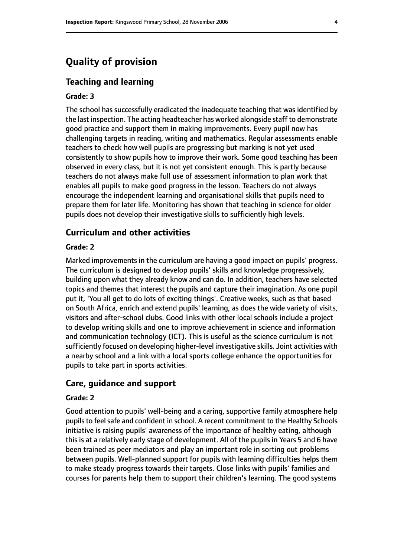#### **Quality of provision**

#### **Teaching and learning**

#### **Grade: 3**

The school has successfully eradicated the inadequate teaching that was identified by the last inspection. The acting headteacher has worked alongside staff to demonstrate good practice and support them in making improvements. Every pupil now has challenging targets in reading, writing and mathematics. Regular assessments enable teachers to check how well pupils are progressing but marking is not yet used consistently to show pupils how to improve their work. Some good teaching has been observed in every class, but it is not yet consistent enough. This is partly because teachers do not always make full use of assessment information to plan work that enables all pupils to make good progress in the lesson. Teachers do not always encourage the independent learning and organisational skills that pupils need to prepare them for later life. Monitoring has shown that teaching in science for older pupils does not develop their investigative skills to sufficiently high levels.

#### **Curriculum and other activities**

#### **Grade: 2**

Marked improvements in the curriculum are having a good impact on pupils' progress. The curriculum is designed to develop pupils' skills and knowledge progressively, building upon what they already know and can do. In addition, teachers have selected topics and themes that interest the pupils and capture their imagination. As one pupil put it, 'You all get to do lots of exciting things'. Creative weeks, such as that based on South Africa, enrich and extend pupils' learning, as does the wide variety of visits, visitors and after-school clubs. Good links with other local schools include a project to develop writing skills and one to improve achievement in science and information and communication technology (ICT). This is useful as the science curriculum is not sufficiently focused on developing higher-level investigative skills. Joint activities with a nearby school and a link with a local sports college enhance the opportunities for pupils to take part in sports activities.

#### **Care, guidance and support**

#### **Grade: 2**

Good attention to pupils' well-being and a caring, supportive family atmosphere help pupils to feel safe and confident in school. A recent commitment to the Healthy Schools initiative is raising pupils' awareness of the importance of healthy eating, although this is at a relatively early stage of development. All of the pupils in Years 5 and 6 have been trained as peer mediators and play an important role in sorting out problems between pupils. Well-planned support for pupils with learning difficulties helps them to make steady progress towards their targets. Close links with pupils' families and courses for parents help them to support their children's learning. The good systems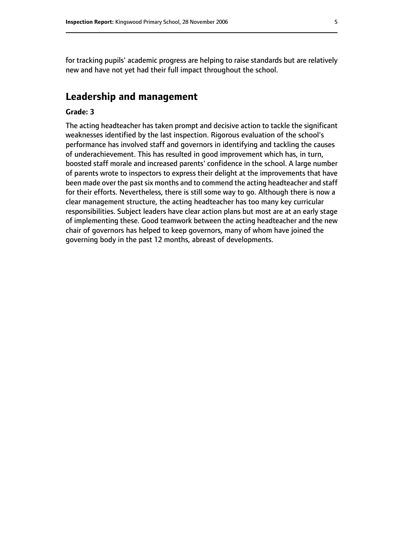for tracking pupils' academic progress are helping to raise standards but are relatively new and have not yet had their full impact throughout the school.

#### **Leadership and management**

#### **Grade: 3**

The acting headteacher has taken prompt and decisive action to tackle the significant weaknesses identified by the last inspection. Rigorous evaluation of the school's performance has involved staff and governors in identifying and tackling the causes of underachievement. This has resulted in good improvement which has, in turn, boosted staff morale and increased parents' confidence in the school. A large number of parents wrote to inspectors to express their delight at the improvements that have been made over the past six months and to commend the acting headteacher and staff for their efforts. Nevertheless, there is still some way to go. Although there is now a clear management structure, the acting headteacher has too many key curricular responsibilities. Subject leaders have clear action plans but most are at an early stage of implementing these. Good teamwork between the acting headteacher and the new chair of governors has helped to keep governors, many of whom have joined the governing body in the past 12 months, abreast of developments.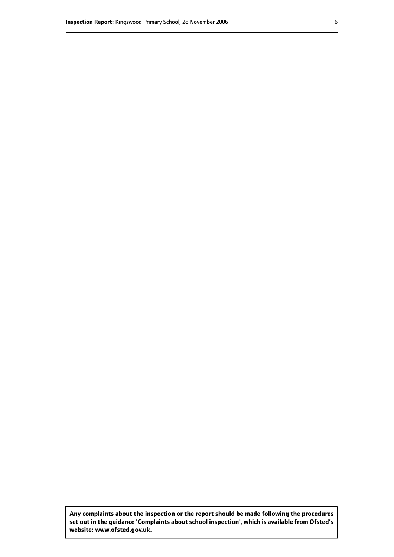**Any complaints about the inspection or the report should be made following the procedures set out inthe guidance 'Complaints about school inspection', whichis available from Ofsted's website: www.ofsted.gov.uk.**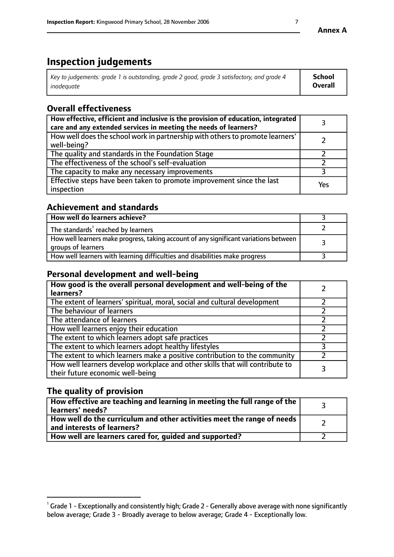### **Inspection judgements**

| Key to judgements: grade 1 is outstanding, grade 2 good, grade 3 satisfactory, and grade 4 | <b>School</b>  |
|--------------------------------------------------------------------------------------------|----------------|
| inadeauate                                                                                 | <b>Overall</b> |

#### **Overall effectiveness**

| How effective, efficient and inclusive is the provision of education, integrated<br>care and any extended services in meeting the needs of learners? |     |
|------------------------------------------------------------------------------------------------------------------------------------------------------|-----|
| How well does the school work in partnership with others to promote learners'<br>well-being?                                                         |     |
| The quality and standards in the Foundation Stage                                                                                                    |     |
| The effectiveness of the school's self-evaluation                                                                                                    |     |
| The capacity to make any necessary improvements                                                                                                      |     |
| Effective steps have been taken to promote improvement since the last<br>inspection                                                                  | Yes |

#### **Achievement and standards**

| How well do learners achieve?                                                                               |  |
|-------------------------------------------------------------------------------------------------------------|--|
| The standards <sup>1</sup> reached by learners                                                              |  |
| How well learners make progress, taking account of any significant variations between<br>groups of learners |  |
| How well learners with learning difficulties and disabilities make progress                                 |  |

#### **Personal development and well-being**

| How good is the overall personal development and well-being of the<br>learners?                                  |  |
|------------------------------------------------------------------------------------------------------------------|--|
| The extent of learners' spiritual, moral, social and cultural development                                        |  |
| The behaviour of learners                                                                                        |  |
| The attendance of learners                                                                                       |  |
| How well learners enjoy their education                                                                          |  |
| The extent to which learners adopt safe practices                                                                |  |
| The extent to which learners adopt healthy lifestyles                                                            |  |
| The extent to which learners make a positive contribution to the community                                       |  |
| How well learners develop workplace and other skills that will contribute to<br>their future economic well-being |  |

#### **The quality of provision**

| $\Box$ How effective are teaching and learning in meeting the full range of the $\Box$<br>  learners' needs?        |  |
|---------------------------------------------------------------------------------------------------------------------|--|
| $\mid$ How well do the curriculum and other activities meet the range of needs<br>$\mid$ and interests of learners? |  |
| How well are learners cared for, guided and supported?                                                              |  |

 $^1$  Grade 1 - Exceptionally and consistently high; Grade 2 - Generally above average with none significantly below average; Grade 3 - Broadly average to below average; Grade 4 - Exceptionally low.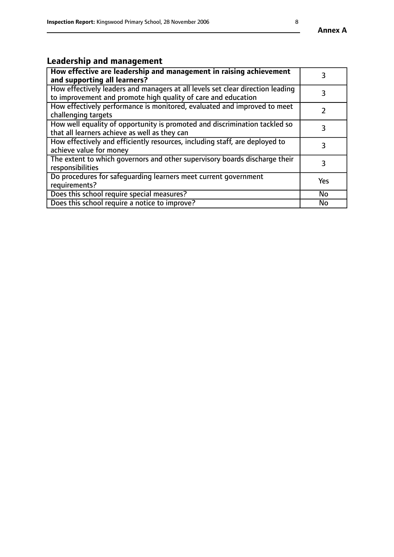#### **Annex A**

### **Leadership and management**

| How effective are leadership and management in raising achievement<br>and supporting all learners?                                              |           |
|-------------------------------------------------------------------------------------------------------------------------------------------------|-----------|
| How effectively leaders and managers at all levels set clear direction leading<br>to improvement and promote high quality of care and education |           |
| How effectively performance is monitored, evaluated and improved to meet<br>challenging targets                                                 |           |
| How well equality of opportunity is promoted and discrimination tackled so<br>that all learners achieve as well as they can                     |           |
| How effectively and efficiently resources, including staff, are deployed to<br>achieve value for money                                          | 3         |
| The extent to which governors and other supervisory boards discharge their<br>responsibilities                                                  | 3         |
| Do procedures for safequarding learners meet current government<br>requirements?                                                                | Yes       |
| Does this school require special measures?                                                                                                      | <b>No</b> |
| Does this school require a notice to improve?                                                                                                   | No        |